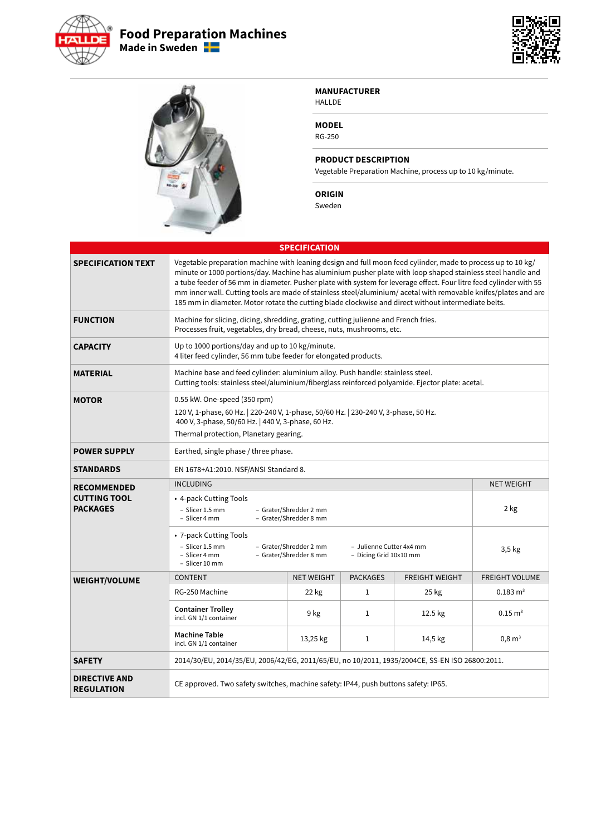

## **Food Preparation Machines Made in Sweden**



## **MANUFACTURER**

HALLDE

**MODEL**

RG-250

**PRODUCT DESCRIPTION**

Vegetable Preparation Machine, process up to 10 kg/minute.

## **ORIGIN**

Sweden

| <b>SPECIFICATION</b>                                         |                                                                                                                                                                                                                                                                                                                                                                                                                                                                                                                                                                            |                   |                 |                       |                           |
|--------------------------------------------------------------|----------------------------------------------------------------------------------------------------------------------------------------------------------------------------------------------------------------------------------------------------------------------------------------------------------------------------------------------------------------------------------------------------------------------------------------------------------------------------------------------------------------------------------------------------------------------------|-------------------|-----------------|-----------------------|---------------------------|
| <b>SPECIFICATION TEXT</b>                                    | Vegetable preparation machine with leaning design and full moon feed cylinder, made to process up to 10 kg/<br>minute or 1000 portions/day. Machine has aluminium pusher plate with loop shaped stainless steel handle and<br>a tube feeder of 56 mm in diameter. Pusher plate with system for leverage effect. Four litre feed cylinder with 55<br>mm inner wall. Cutting tools are made of stainless steel/aluminium/ acetal with removable knifes/plates and are<br>185 mm in diameter. Motor rotate the cutting blade clockwise and direct without intermediate belts. |                   |                 |                       |                           |
| <b>FUNCTION</b>                                              | Machine for slicing, dicing, shredding, grating, cutting julienne and French fries.<br>Processes fruit, vegetables, dry bread, cheese, nuts, mushrooms, etc.                                                                                                                                                                                                                                                                                                                                                                                                               |                   |                 |                       |                           |
| <b>CAPACITY</b>                                              | Up to 1000 portions/day and up to 10 kg/minute.<br>4 liter feed cylinder, 56 mm tube feeder for elongated products.                                                                                                                                                                                                                                                                                                                                                                                                                                                        |                   |                 |                       |                           |
| <b>MATERIAL</b>                                              | Machine base and feed cylinder: aluminium alloy. Push handle: stainless steel.<br>Cutting tools: stainless steel/aluminium/fiberglass reinforced polyamide. Ejector plate: acetal.                                                                                                                                                                                                                                                                                                                                                                                         |                   |                 |                       |                           |
| <b>MOTOR</b>                                                 | 0.55 kW. One-speed (350 rpm)<br>120 V, 1-phase, 60 Hz.   220-240 V, 1-phase, 50/60 Hz.   230-240 V, 3-phase, 50 Hz.<br>400 V, 3-phase, 50/60 Hz.   440 V, 3-phase, 60 Hz.<br>Thermal protection, Planetary gearing.                                                                                                                                                                                                                                                                                                                                                        |                   |                 |                       |                           |
| <b>POWER SUPPLY</b>                                          | Earthed, single phase / three phase.                                                                                                                                                                                                                                                                                                                                                                                                                                                                                                                                       |                   |                 |                       |                           |
| <b>STANDARDS</b>                                             | EN 1678+A1:2010. NSF/ANSI Standard 8.                                                                                                                                                                                                                                                                                                                                                                                                                                                                                                                                      |                   |                 |                       |                           |
| <b>RECOMMENDED</b><br><b>CUTTING TOOL</b><br><b>PACKAGES</b> | <b>INCLUDING</b><br>• 4-pack Cutting Tools<br>- Slicer 1.5 mm<br>- Grater/Shredder 2 mm<br>- Slicer 4 mm<br>- Grater/Shredder 8 mm<br>• 7-pack Cutting Tools                                                                                                                                                                                                                                                                                                                                                                                                               |                   |                 |                       | <b>NET WEIGHT</b><br>2 kg |
|                                                              | - Slicer 1.5 mm<br>- Grater/Shredder 2 mm<br>- Julienne Cutter 4x4 mm<br>- Slicer 4 mm<br>- Grater/Shredder 8 mm<br>- Dicing Grid 10x10 mm<br>- Slicer 10 mm                                                                                                                                                                                                                                                                                                                                                                                                               |                   |                 |                       | $3,5$ kg                  |
| <b>WEIGHT/VOLUME</b>                                         | <b>CONTENT</b>                                                                                                                                                                                                                                                                                                                                                                                                                                                                                                                                                             | <b>NET WEIGHT</b> | <b>PACKAGES</b> | <b>FREIGHT WEIGHT</b> | <b>FREIGHT VOLUME</b>     |
|                                                              | RG-250 Machine                                                                                                                                                                                                                                                                                                                                                                                                                                                                                                                                                             | 22 kg             | $\mathbf{1}$    | 25 kg                 | $0.183 \text{ m}^3$       |
|                                                              | <b>Container Trolley</b><br>incl. GN 1/1 container                                                                                                                                                                                                                                                                                                                                                                                                                                                                                                                         | 9 kg              | $\mathbf{1}$    | 12.5 kg               | $0.15 \text{ m}^3$        |
|                                                              | <b>Machine Table</b><br>incl. GN 1/1 container                                                                                                                                                                                                                                                                                                                                                                                                                                                                                                                             | 13,25 kg          | 1               | 14,5 kg               | $0,8 \text{ m}^3$         |
| <b>SAFETY</b>                                                | 2014/30/EU, 2014/35/EU, 2006/42/EG, 2011/65/EU, no 10/2011, 1935/2004CE, SS-EN ISO 26800:2011.                                                                                                                                                                                                                                                                                                                                                                                                                                                                             |                   |                 |                       |                           |
| <b>DIRECTIVE AND</b><br><b>REGULATION</b>                    | CE approved. Two safety switches, machine safety: IP44, push buttons safety: IP65.                                                                                                                                                                                                                                                                                                                                                                                                                                                                                         |                   |                 |                       |                           |